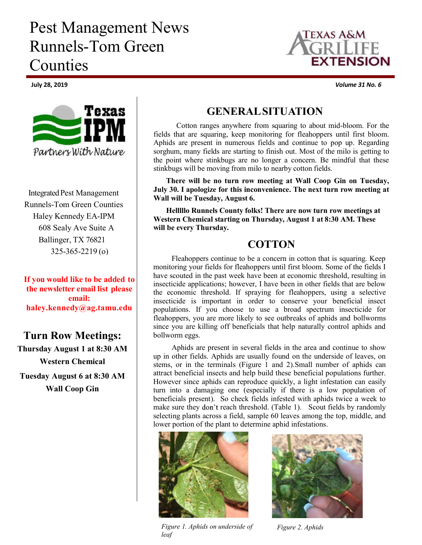# Pest Management News Runnels-Tom Green Counties



Integrated Pest Management Runnels-Tom Green Counties Haley Kennedy EA-IPM 608 Sealy Ave Suite A Ballinger, TX 76821 325-365-2219 (o)

**If you would like to be added to the newsletter email list please email: haley.kennedy@ag.tamu.edu**

## **Turn Row Meetings:**

**Thursday August 1 at 8:30 AM Western Chemical Tuesday August 6 at 8:30 AM Wall Coop Gin**



Cotton ranges anywhere from squaring to about mid-bloom. For the fields that are squaring, keep monitoring for fleahoppers until first bloom. Aphids are present in numerous fields and continue to pop up. Regarding sorghum, many fields are starting to finish out. Most of the milo is getting to the point where stinkbugs are no longer a concern. Be mindful that these stinkbugs will be moving from milo to nearby cotton fields.

**There will be no turn row meeting at Wall Coop Gin on Tuesday, July 30. I apologize for this inconvenience. The next turn row meeting at Wall will be Tuesday, August 6.**

**Helllllo Runnels County folks! There are now turn row meetings at Western Chemical starting on Thursday, August 1 at 8:30 AM. These will be every Thursday.**

## **COTTON**

Fleahoppers continue to be a concern in cotton that is squaring. Keep monitoring your fields for fleahoppers until first bloom. Some of the fields I have scouted in the past week have been at economic threshold, resulting in insecticide applications; however, I have been in other fields that are below the economic threshold. If spraying for fleahoppers, using a selective insecticide is important in order to conserve your beneficial insect populations. If you choose to use a broad spectrum insecticide for fleahoppers, you are more likely to see outbreaks of aphids and bollworms since you are killing off beneficials that help naturally control aphids and bollworm eggs.

Aphids are present in several fields in the area and continue to show up in other fields. Aphids are usually found on the underside of leaves, on stems, or in the terminals (Figure 1 and 2). Small number of aphids can attract beneficial insects and help build these beneficial populations further. However since aphids can reproduce quickly, a light infestation can easily turn into a damaging one (especially if there is a low population of beneficials present). So check fields infested with aphids twice a week to make sure they don't reach threshold. (Table 1). Scout fields by randomly selecting plants across a field, sample 60 leaves among the top, middle, and lower portion of the plant to determine aphid infestations.



*Figure 1. Aphids on underside of Figure 2. Aphids leaf*





July 28, 2019 *Volume 31 No. 6*